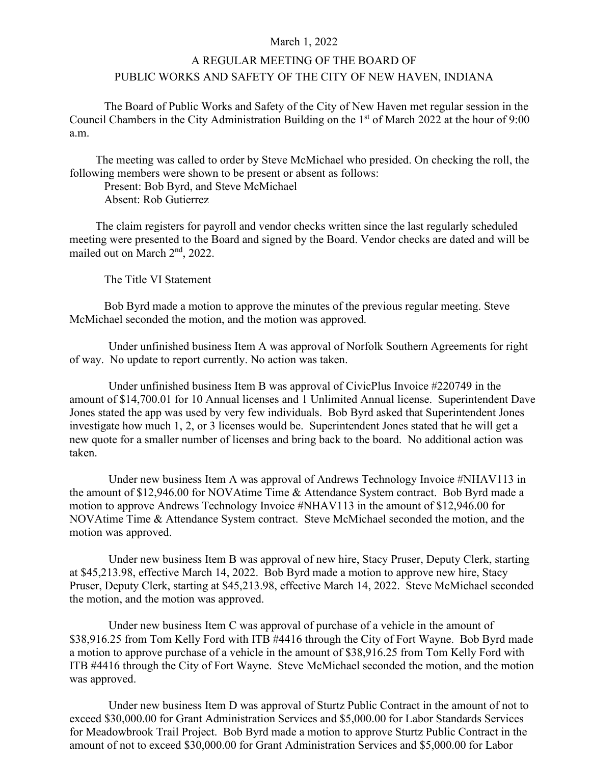## March 1, 2022

## A REGULAR MEETING OF THE BOARD OF PUBLIC WORKS AND SAFETY OF THE CITY OF NEW HAVEN, INDIANA

The Board of Public Works and Safety of the City of New Haven met regular session in the Council Chambers in the City Administration Building on the 1<sup>st</sup> of March 2022 at the hour of 9:00 a.m.

The meeting was called to order by Steve McMichael who presided. On checking the roll, the following members were shown to be present or absent as follows:

Present: Bob Byrd, and Steve McMichael Absent: Rob Gutierrez

The claim registers for payroll and vendor checks written since the last regularly scheduled meeting were presented to the Board and signed by the Board. Vendor checks are dated and will be mailed out on March 2<sup>nd</sup>, 2022.

The Title VI Statement

Bob Byrd made a motion to approve the minutes of the previous regular meeting. Steve McMichael seconded the motion, and the motion was approved.

Under unfinished business Item A was approval of Norfolk Southern Agreements for right of way. No update to report currently. No action was taken.

Under unfinished business Item B was approval of CivicPlus Invoice #220749 in the amount of \$14,700.01 for 10 Annual licenses and 1 Unlimited Annual license. Superintendent Dave Jones stated the app was used by very few individuals. Bob Byrd asked that Superintendent Jones investigate how much 1, 2, or 3 licenses would be. Superintendent Jones stated that he will get a new quote for a smaller number of licenses and bring back to the board. No additional action was taken.

Under new business Item A was approval of Andrews Technology Invoice #NHAV113 in the amount of \$12,946.00 for NOVAtime Time & Attendance System contract. Bob Byrd made a motion to approve Andrews Technology Invoice #NHAV113 in the amount of \$12,946.00 for NOVAtime Time & Attendance System contract. Steve McMichael seconded the motion, and the motion was approved.

Under new business Item B was approval of new hire, Stacy Pruser, Deputy Clerk, starting at \$45,213.98, effective March 14, 2022. Bob Byrd made a motion to approve new hire, Stacy Pruser, Deputy Clerk, starting at \$45,213.98, effective March 14, 2022. Steve McMichael seconded the motion, and the motion was approved.

Under new business Item C was approval of purchase of a vehicle in the amount of \$38,916.25 from Tom Kelly Ford with ITB #4416 through the City of Fort Wayne. Bob Byrd made a motion to approve purchase of a vehicle in the amount of \$38,916.25 from Tom Kelly Ford with ITB #4416 through the City of Fort Wayne. Steve McMichael seconded the motion, and the motion was approved.

Under new business Item D was approval of Sturtz Public Contract in the amount of not to exceed \$30,000.00 for Grant Administration Services and \$5,000.00 for Labor Standards Services for Meadowbrook Trail Project. Bob Byrd made a motion to approve Sturtz Public Contract in the amount of not to exceed \$30,000.00 for Grant Administration Services and \$5,000.00 for Labor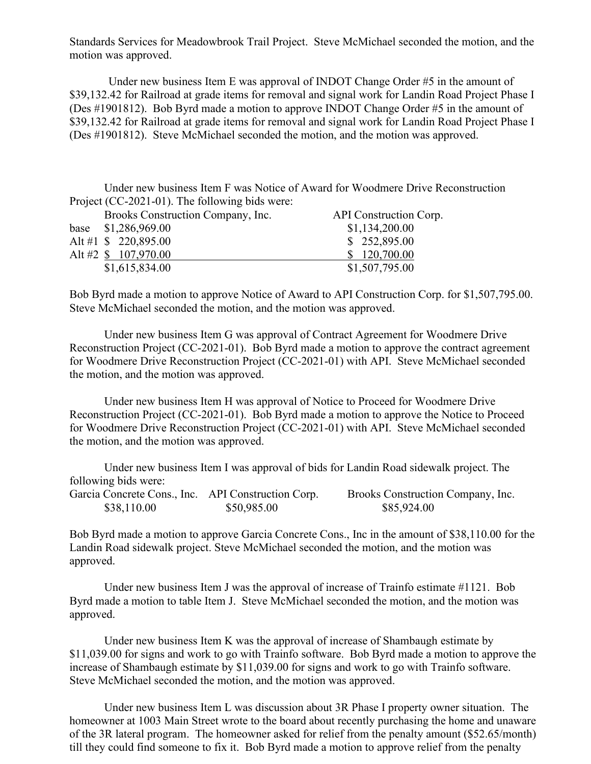Standards Services for Meadowbrook Trail Project. Steve McMichael seconded the motion, and the motion was approved.

Under new business Item E was approval of INDOT Change Order #5 in the amount of \$39,132.42 for Railroad at grade items for removal and signal work for Landin Road Project Phase I (Des #1901812). Bob Byrd made a motion to approve INDOT Change Order #5 in the amount of \$39,132.42 for Railroad at grade items for removal and signal work for Landin Road Project Phase I (Des #1901812). Steve McMichael seconded the motion, and the motion was approved.

Under new business Item F was Notice of Award for Woodmere Drive Reconstruction Project (CC-2021-01). The following bids were:

| Brooks Construction Company, Inc. | API Construction Corp. |
|-----------------------------------|------------------------|
| base \$1,286,969.00               | \$1,134,200.00         |
| Alt #1 $$220,895.00$              | \$252,895.00           |
| Alt #2 \$ 107,970.00              | \$120,700.00           |
| \$1,615,834.00                    | \$1,507,795.00         |

Bob Byrd made a motion to approve Notice of Award to API Construction Corp. for \$1,507,795.00. Steve McMichael seconded the motion, and the motion was approved.

Under new business Item G was approval of Contract Agreement for Woodmere Drive Reconstruction Project (CC-2021-01). Bob Byrd made a motion to approve the contract agreement for Woodmere Drive Reconstruction Project (CC-2021-01) with API. Steve McMichael seconded the motion, and the motion was approved.

Under new business Item H was approval of Notice to Proceed for Woodmere Drive Reconstruction Project (CC-2021-01). Bob Byrd made a motion to approve the Notice to Proceed for Woodmere Drive Reconstruction Project (CC-2021-01) with API. Steve McMichael seconded the motion, and the motion was approved.

Under new business Item I was approval of bids for Landin Road sidewalk project. The following bids were:

| Garcia Concrete Cons., Inc. API Construction Corp. |             | Brooks Construction Company, Inc. |
|----------------------------------------------------|-------------|-----------------------------------|
| \$38,110.00                                        | \$50,985.00 | \$85,924.00                       |

Bob Byrd made a motion to approve Garcia Concrete Cons., Inc in the amount of \$38,110.00 for the Landin Road sidewalk project. Steve McMichael seconded the motion, and the motion was approved.

Under new business Item J was the approval of increase of Trainfo estimate #1121. Bob Byrd made a motion to table Item J. Steve McMichael seconded the motion, and the motion was approved.

Under new business Item K was the approval of increase of Shambaugh estimate by \$11,039.00 for signs and work to go with Trainfo software. Bob Byrd made a motion to approve the increase of Shambaugh estimate by \$11,039.00 for signs and work to go with Trainfo software. Steve McMichael seconded the motion, and the motion was approved.

Under new business Item L was discussion about 3R Phase I property owner situation. The homeowner at 1003 Main Street wrote to the board about recently purchasing the home and unaware of the 3R lateral program. The homeowner asked for relief from the penalty amount (\$52.65/month) till they could find someone to fix it. Bob Byrd made a motion to approve relief from the penalty